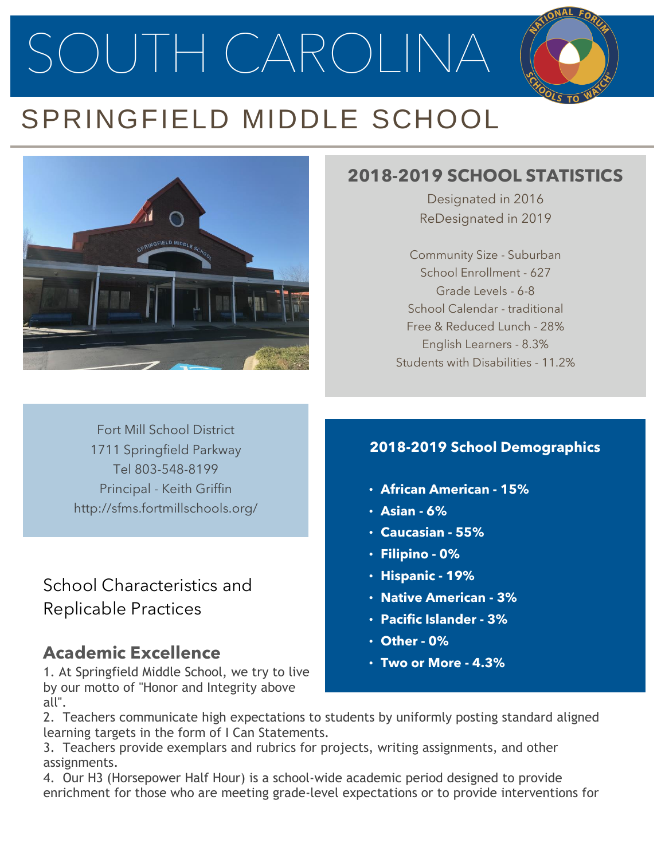SOUTH CAROLINA

# SPRINGFIELD MIDDLE SCHOOL



## **2018-2019 SCHOOL STATISTICS**

Designated in 2016 ReDesignated in 2019

Community Size - Suburban School Enrollment - 627 Grade Levels - 6-8 School Calendar - traditional Free & Reduced Lunch - 28% English Learners - 8.3% Students with Disabilities - 11.2%

Fort Mill School District 1711 Springfield Parkway Tel 803-548-8199 Principal - Keith Griffin http://sfms.fortmillschools.org/

School Characteristics and Replicable Practices

## **Academic Excellence**

1. At Springfield Middle School, we try to live by our motto of "Honor and Integrity above all".

#### **2018-2019 School Demographics**

- **African American - 15%**
- **Asian - 6%**
- **Caucasian - 55%**
- **Filipino - 0%**
- **Hispanic - 19%**
- **Native American - 3%**
- **Pacific Islander - 3%**
- **Other - 0%**
- **Two or More - 4.3%**

2. Teachers communicate high expectations to students by uniformly posting standard aligned learning targets in the form of I Can Statements.

3. Teachers provide exemplars and rubrics for projects, writing assignments, and other assignments.

4. Our H3 (Horsepower Half Hour) is a school-wide academic period designed to provide enrichment for those who are meeting grade-level expectations or to provide interventions for